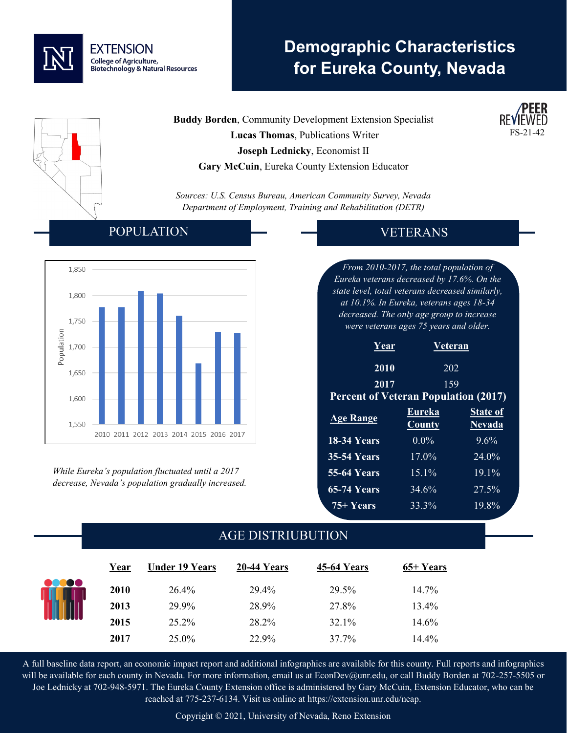

# **Demographic Characteristics for Eureka County, Nevada**

**Buddy Borden**, Community Development Extension Specialist  **Lucas Thomas**, Publications Writer **Joseph Lednicky**, Economist II **Gary McCuin**, Eureka County Extension Educator

*Sources: U.S. Census Bureau, American Community Survey, Nevada Department of Employment, Training and Rehabilitation (DETR)*

#### POPULATION



*While Eureka's population fluctuated until a 2017 decrease, Nevada's population gradually increased.* 

## VETERANS

*From 2010-2017, the total population of Eureka veterans decreased by 17.6%. On the state level, total veterans decreased similarly, at 10.1%. In Eureka, veterans ages 18-34 decreased. The only age group to increase were veterans ages 75 years and older.*

| Year                                        | <b>Veteran</b>   |                                  |  |  |
|---------------------------------------------|------------------|----------------------------------|--|--|
| 2010                                        | 202              |                                  |  |  |
| 2017                                        | 159              |                                  |  |  |
| <b>Percent of Veteran Population (2017)</b> |                  |                                  |  |  |
| <b>Age Range</b>                            | Eureka<br>County | <b>State of</b><br><b>Nevada</b> |  |  |
| <b>18-34 Years</b>                          | $0.0\%$          | $9.6\%$                          |  |  |
| <b>35-54 Years</b>                          | $17.0\%$         | 24.0%                            |  |  |
| <b>55-64 Years</b>                          | $15.1\%$         | $19.1\%$                         |  |  |
| <b>65-74 Years</b>                          | 34.6%            | 27.5%                            |  |  |
| 75+ Years                                   | 33.3%            | 19.8%                            |  |  |

### AGE DISTRIUBUTION

|         | Year        | <b>Under 19 Years</b> | 20-44 Years | 45-64 Years | 65+ Years |  |
|---------|-------------|-----------------------|-------------|-------------|-----------|--|
| <b></b> | <b>2010</b> | 26.4%                 | 29.4%       | 29.5%       | 14.7%     |  |
|         | 2013        | 29.9%                 | 28.9%       | 27.8%       | 13.4%     |  |
|         | 2015        | 25.2%                 | 28.2%       | 32.1%       | 14.6%     |  |
|         | 2017        | 25.0%                 | 22.9%       | 37.7%       | 14.4%     |  |

A full baseline data report, an economic impact report and additional infographics are available for this county. Full reports and infographics will be available for each county in Nevada. For more information, email us at EconDev@unr.edu, or call Buddy Borden at 702-257-5505 or Joe Lednicky at 702-948-5971. The Eureka County Extension office is administered by Gary McCuin, Extension Educator, who can be reached at 775-237-6134. Visit us online at https://extension.unr.edu/neap.